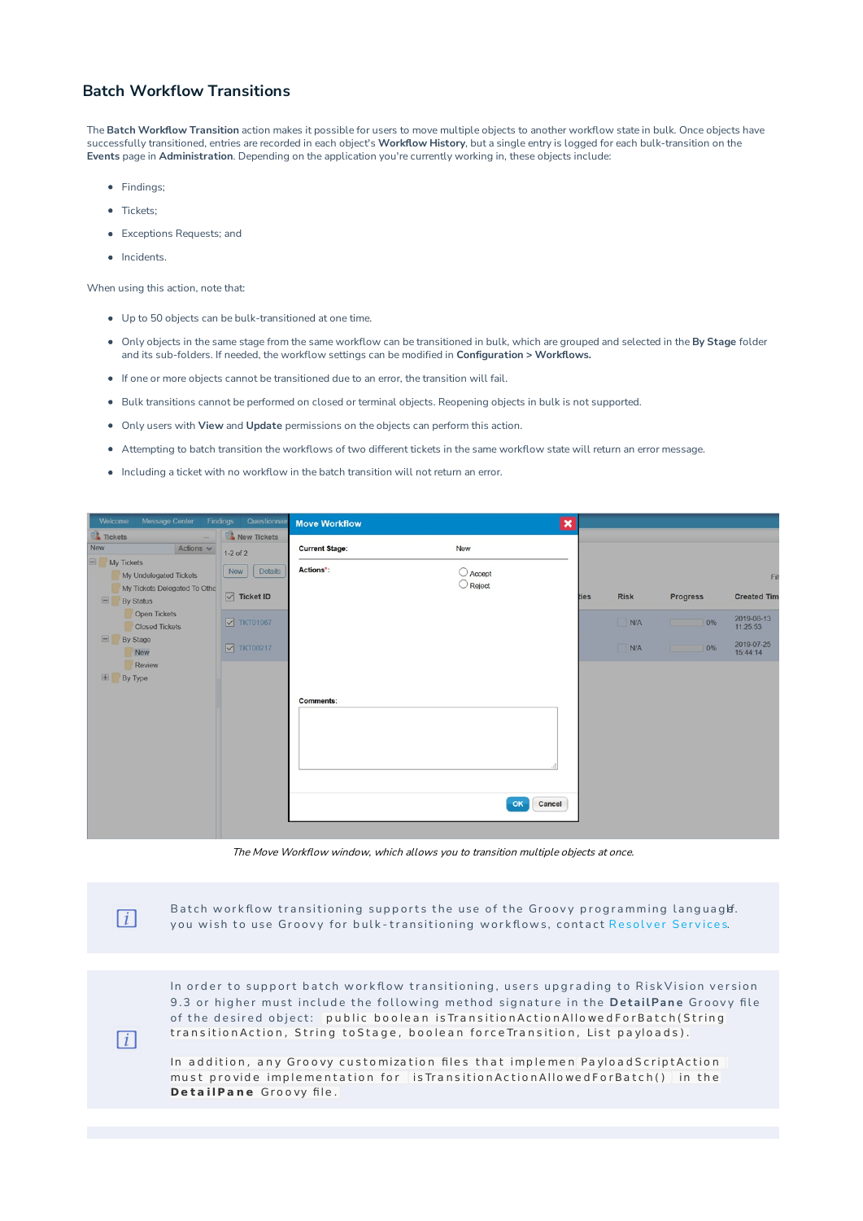## **Batch Workflow Transitions**

The **Batch Workflow Transition** action makes it possible for users to move multiple objects to another workflow state in bulk. Once objects have successfully transitioned, entries are recorded in each object's **Workflow History**, but a single entry is logged for each bulk-transition on the **Events** page in **Administration**. Depending on the application you're currently working in, these objects include:

- Findings:
- Tickets;
- Exceptions Requests; and
- Incidents.

 $\lceil i \rceil$ 

 $\lceil i \rceil$ 

When using this action, note that:

- Up to 50 objects can be bulk-transitioned at one time.
- Only objects in the same stage from the same workflow can be transitioned in bulk, which are grouped and selected in the **By Stage** folder and its sub-folders. If needed, the workflow settings can be modified in **Configuration > Workflows.**
- If one or more objects cannot be transitioned due to an error, the transition will fail.
- Bulk transitions cannot be performed on closed or terminal objects. Reopening objects in bulk is not supported.
- Only users with **View** and **Update** permissions on the objects can perform this action.
- Attempting to batch transition the workflows of two different tickets in the same workflow state will return an error message.
- Including a ticket with no workflow in the batch transition will not return an error.

| Message Center<br>Welcome                                  | Questionnair<br>Findings   | <b>Move Workflow</b>  |                   | $\boldsymbol{\times}$ |             |                 |                        |
|------------------------------------------------------------|----------------------------|-----------------------|-------------------|-----------------------|-------------|-----------------|------------------------|
| <b>Tickets</b><br>-                                        | New Tickets                |                       |                   |                       |             |                 |                        |
| New<br>Actions $\vee$                                      | $1-2$ of $2$               | <b>Current Stage:</b> | New               |                       |             |                 |                        |
| $\Box$ My Tickets<br>My Undelegated Tickets                | Details<br>New             | Actions*:             | <b>O</b> Accept   |                       |             |                 | Fil                    |
| My Tickets Delegated To Othe<br>$\Box$<br><b>By Status</b> | $\boxed{\smile}$ Ticket ID |                       | $\bigcirc$ Reject | ties                  | <b>Risk</b> | <b>Progress</b> | <b>Created Tim</b>     |
| Open Tickets<br><b>Closed Tickets</b>                      | $\nabla$ TKT01967          |                       |                   |                       | N/A         | 0%              | 2019-08-13<br>11:25:53 |
| $\Box$<br>By Stage<br>New                                  | $\nabla$ TKT00217          |                       |                   |                       | N/A         | 0%              | 2019-07-25<br>15:44:14 |
| Review                                                     |                            |                       |                   |                       |             |                 |                        |
| 田<br>By Type                                               |                            |                       |                   |                       |             |                 |                        |
|                                                            |                            | Comments:             |                   |                       |             |                 |                        |
|                                                            |                            |                       |                   |                       |             |                 |                        |
|                                                            |                            |                       |                   |                       |             |                 |                        |
|                                                            |                            |                       |                   |                       |             |                 |                        |
|                                                            |                            |                       |                   |                       |             |                 |                        |
|                                                            |                            |                       | Cancel<br>OK      |                       |             |                 |                        |
|                                                            |                            |                       |                   |                       |             |                 |                        |

The Move Workflow window, which allows you to transition multiple objects at once.

Batch workflow transitioning supports the use of the Groovy programming languaglf. you wish to use Groovy for bulk-transitioning workflows, contact Resolver Services.

In order to support batch workflow transitioning, users upgrading to RiskVision version 9.3 or higher must include the following method signature in the DetailPane Groovy file of the desired object: public boolean is Transition Action Allowed For Batch (String transition Action, String to Stage, boolean force Transition, List payloads).

In addition, any Groovy customization files that implemen Payload Script Action must provide implementation for is Transition Action Allowed For Batch () in the **DetailPane** Groovy file.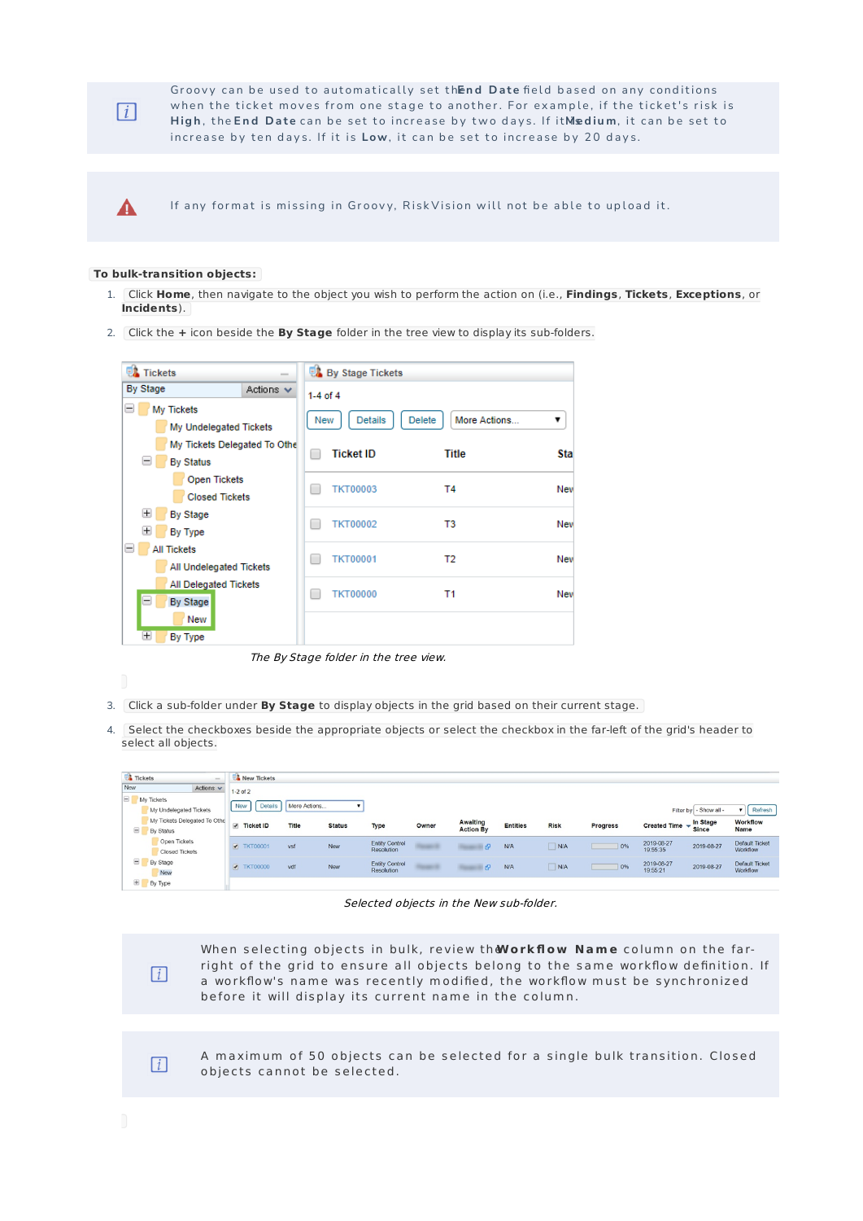

 $\blacktriangle$ 

Groovy can be used to automatically set thend Date field based on any conditions when the ticket moves from one stage to another. For example, if the ticket's risk is High, the End Date can be set to increase by two days. If itMedium, it can be set to increase by ten days. If it is Low, it can be set to increase by 20 days.

If any format is missing in Groovy, RiskVision will not be able to upload it.

## **To bulk-transition objects:**

- 1. Click **Home**, then navigate to the object you wish to perform the action on (i.e., **Findings**, **Tickets**, **Exceptions**, or **Incidents**).
- 2. Click the **+** icon beside the **By Stage** folder in the tree view to display its sub-folders.

| <b>EX</b> Tickets                 |                              |              | <b>By Stage Tickets</b> |                               |     |
|-----------------------------------|------------------------------|--------------|-------------------------|-------------------------------|-----|
| By Stage                          | Actions $\vee$               | $1-4$ of $4$ |                         |                               |     |
| $=$<br>My Tickets                 |                              | New          | <b>Details</b>          | More Actions<br><b>Delete</b> | ▼   |
|                                   | My Undelegated Tickets       |              |                         |                               |     |
|                                   | My Tickets Delegated To Othe |              | <b>Ticket ID</b>        | Title                         | Sta |
| $=$<br><b>By Status</b>           |                              |              |                         |                               |     |
| <b>Open Tickets</b>               |                              |              | <b>TKT00003</b>         | Τ4                            | New |
|                                   | <b>Closed Tickets</b>        |              |                         |                               |     |
| $\pm$<br><b>By Stage</b>          |                              |              |                         |                               |     |
| $\pm$<br>By Type                  |                              |              | <b>TKT00002</b>         | T3                            | New |
| $=$ $\overline{ }$<br>All Tickets |                              |              |                         |                               |     |
|                                   | All Undelegated Tickets      |              | <b>TKT00001</b>         | T2                            | New |
| <b>All Delegated Tickets</b>      |                              |              |                         |                               |     |
| $\equiv$<br><b>By Stage</b>       |                              |              | <b>TKT00000</b>         | Τ1                            | New |
| New                               |                              |              |                         |                               |     |
| $\pm$<br>By Type                  |                              |              |                         |                               |     |

The By Stage folder in the tree view.

- 3. Click a sub-folder under **By Stage** to display objects in the grid based on their current stage.
- 4. Select the checkboxes beside the appropriate objects or select the checkbox in the far-left of the grid's header to select all objects.

| Tickets    | $\sim$                                    | New Tickets       |                |               |                                     |       |                                                                                                                 |                 |             |                 |                                   |                          |                                   |
|------------|-------------------------------------------|-------------------|----------------|---------------|-------------------------------------|-------|-----------------------------------------------------------------------------------------------------------------|-----------------|-------------|-----------------|-----------------------------------|--------------------------|-----------------------------------|
| New        | Actions $\vee$                            | $1-2$ of $2$      |                |               |                                     |       |                                                                                                                 |                 |             |                 |                                   |                          |                                   |
| My Tickets | My Undelegated Tickets                    | New               | <b>Details</b> | More Actions  |                                     |       |                                                                                                                 |                 |             |                 |                                   | Filter by - Show all -   | $\triangledown$ Refresh           |
| $\Box$     | My Tickets Delegated To Othe<br>By Status | Ticket ID         | <b>Title</b>   | <b>Status</b> | Type                                | Owner | Awaiting<br><b>Action By</b>                                                                                    | <b>Entities</b> | <b>Risk</b> | <b>Progress</b> | Created Time $\blacktriangledown$ | In Stage<br><b>Since</b> | Workflow<br><b>Name</b>           |
|            | Open Tickets<br>Closed Tickets            | <b>7KT00001</b>   | vsf            | New           | <b>Entity Control</b><br>Resolution |       |                                                                                                                 | N/A             | N/A         | 0%              | 2019-08-27<br>19:55:35            | 2019-08-27               | <b>Default Ticket</b><br>Workflow |
| $\Box$     | By Stage<br>New                           | <b>7</b> TKT00000 | vdf            | <b>New</b>    | <b>Entity Control</b><br>Resolution |       | and the state of the state of the state of the state of the state of the state of the state of the state of the | N/A             | N/A         | 0%              | 2019-08-27<br>19:55:21            | 2019-08-27               | Default Ticket<br>Workflow        |
| H          | By Type                                   |                   |                |               |                                     |       |                                                                                                                 |                 |             |                 |                                   |                          |                                   |

Selected objects in the New sub-folder.



A maximum of 50 objects can be selected for a single bulk transition. Closed objects cannot be selected.

 $\lceil i \rceil$